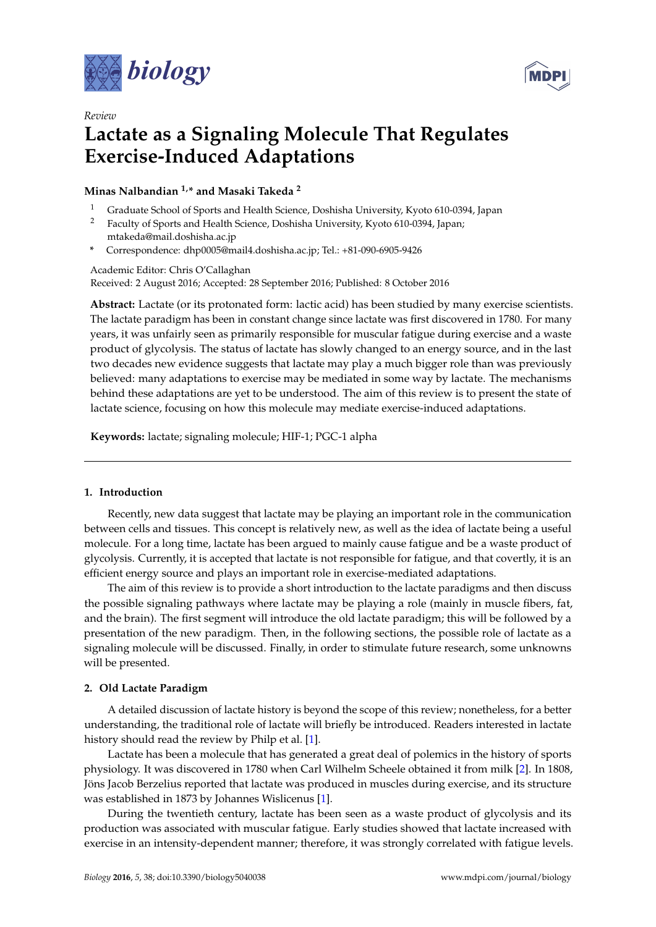

*Review*



# **Lactate as a Signaling Molecule That Regulates Exercise-Induced Adaptations**

**Minas Nalbandian 1,\* and Masaki Takeda <sup>2</sup>**

- <sup>1</sup> Graduate School of Sports and Health Science, Doshisha University, Kyoto 610-0394, Japan<br><sup>2</sup> Eaculty of Sports and Health Science, Doshisha University, Kyoto 610,0394, Japan:
- <sup>2</sup> Faculty of Sports and Health Science, Doshisha University, Kyoto 610-0394, Japan; mtakeda@mail.doshisha.ac.jp
- **\*** Correspondence: dhp0005@mail4.doshisha.ac.jp; Tel.: +81-090-6905-9426

Academic Editor: Chris O'Callaghan Received: 2 August 2016; Accepted: 28 September 2016; Published: 8 October 2016

**Abstract:** Lactate (or its protonated form: lactic acid) has been studied by many exercise scientists. The lactate paradigm has been in constant change since lactate was first discovered in 1780. For many years, it was unfairly seen as primarily responsible for muscular fatigue during exercise and a waste product of glycolysis. The status of lactate has slowly changed to an energy source, and in the last two decades new evidence suggests that lactate may play a much bigger role than was previously believed: many adaptations to exercise may be mediated in some way by lactate. The mechanisms behind these adaptations are yet to be understood. The aim of this review is to present the state of lactate science, focusing on how this molecule may mediate exercise-induced adaptations.

**Keywords:** lactate; signaling molecule; HIF-1; PGC-1 alpha

# **1. Introduction**

Recently, new data suggest that lactate may be playing an important role in the communication between cells and tissues. This concept is relatively new, as well as the idea of lactate being a useful molecule. For a long time, lactate has been argued to mainly cause fatigue and be a waste product of glycolysis. Currently, it is accepted that lactate is not responsible for fatigue, and that covertly, it is an efficient energy source and plays an important role in exercise-mediated adaptations.

The aim of this review is to provide a short introduction to the lactate paradigms and then discuss the possible signaling pathways where lactate may be playing a role (mainly in muscle fibers, fat, and the brain). The first segment will introduce the old lactate paradigm; this will be followed by a presentation of the new paradigm. Then, in the following sections, the possible role of lactate as a signaling molecule will be discussed. Finally, in order to stimulate future research, some unknowns will be presented.

# **2. Old Lactate Paradigm**

A detailed discussion of lactate history is beyond the scope of this review; nonetheless, for a better understanding, the traditional role of lactate will briefly be introduced. Readers interested in lactate history should read the review by Philp et al. [\[1\]](#page-8-0).

Lactate has been a molecule that has generated a great deal of polemics in the history of sports physiology. It was discovered in 1780 when Carl Wilhelm Scheele obtained it from milk [\[2\]](#page-8-1). In 1808, Jöns Jacob Berzelius reported that lactate was produced in muscles during exercise, and its structure was established in 1873 by Johannes Wislicenus [\[1\]](#page-8-0).

During the twentieth century, lactate has been seen as a waste product of glycolysis and its production was associated with muscular fatigue. Early studies showed that lactate increased with exercise in an intensity-dependent manner; therefore, it was strongly correlated with fatigue levels.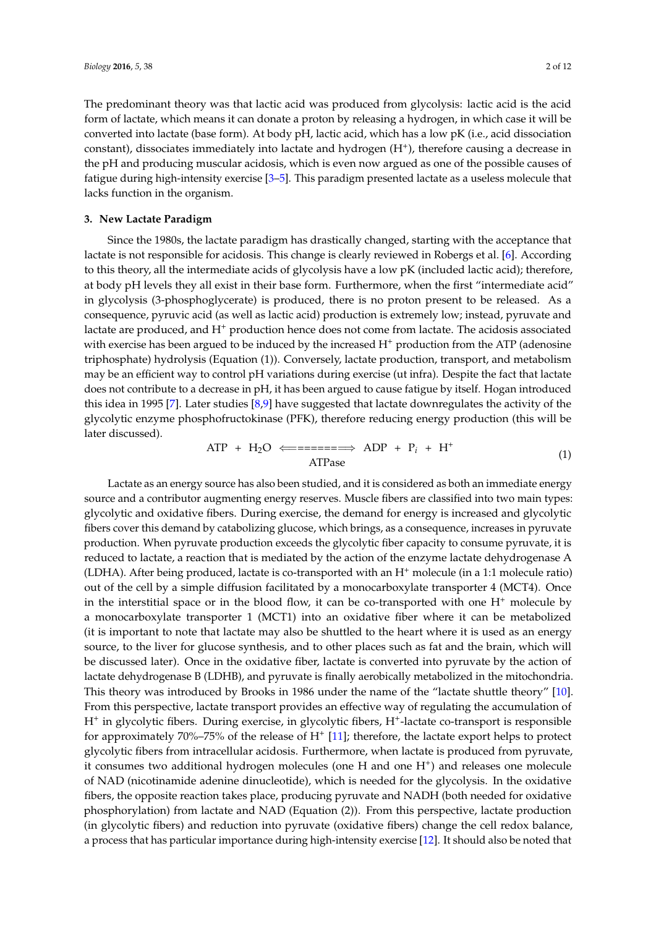The predominant theory was that lactic acid was produced from glycolysis: lactic acid is the acid form of lactate, which means it can donate a proton by releasing a hydrogen, in which case it will be converted into lactate (base form). At body pH, lactic acid, which has a low pK (i.e., acid dissociation constant), dissociates immediately into lactate and hydrogen (H<sup>+</sup>), therefore causing a decrease in the pH and producing muscular acidosis, which is even now argued as one of the possible causes of fatigue during high-intensity exercise [\[3–](#page-8-2)[5\]](#page-8-3). This paradigm presented lactate as a useless molecule that lacks function in the organism.

## **3. New Lactate Paradigm**

Since the 1980s, the lactate paradigm has drastically changed, starting with the acceptance that lactate is not responsible for acidosis. This change is clearly reviewed in Robergs et al. [\[6\]](#page-8-4). According to this theory, all the intermediate acids of glycolysis have a low pK (included lactic acid); therefore, at body pH levels they all exist in their base form. Furthermore, when the first "intermediate acid" in glycolysis (3-phosphoglycerate) is produced, there is no proton present to be released. As a consequence, pyruvic acid (as well as lactic acid) production is extremely low; instead, pyruvate and lactate are produced, and H<sup>+</sup> production hence does not come from lactate. The acidosis associated with exercise has been argued to be induced by the increased  $H<sup>+</sup>$  production from the ATP (adenosine triphosphate) hydrolysis (Equation (1)). Conversely, lactate production, transport, and metabolism may be an efficient way to control pH variations during exercise (ut infra). Despite the fact that lactate does not contribute to a decrease in pH, it has been argued to cause fatigue by itself. Hogan introduced this idea in 1995 [\[7\]](#page-8-5). Later studies [\[8](#page-8-6)[,9\]](#page-8-7) have suggested that lactate downregulates the activity of the glycolytic enzyme phosphofructokinase (PFK), therefore reducing energy production (this will be later discussed).

$$
ATP + H_2O \iff \text{where} \quad ADP + P_i + H^+ \tag{1}
$$
\n
$$
ATPase
$$

Lactate as an energy source has also been studied, and it is considered as both an immediate energy source and a contributor augmenting energy reserves. Muscle fibers are classified into two main types: glycolytic and oxidative fibers. During exercise, the demand for energy is increased and glycolytic fibers cover this demand by catabolizing glucose, which brings, as a consequence, increases in pyruvate production. When pyruvate production exceeds the glycolytic fiber capacity to consume pyruvate, it is reduced to lactate, a reaction that is mediated by the action of the enzyme lactate dehydrogenase A  $(LDHA)$ . After being produced, lactate is co-transported with an  $H<sup>+</sup>$  molecule (in a 1:1 molecule ratio) out of the cell by a simple diffusion facilitated by a monocarboxylate transporter 4 (MCT4). Once in the interstitial space or in the blood flow, it can be co-transported with one  $H^+$  molecule by a monocarboxylate transporter 1 (MCT1) into an oxidative fiber where it can be metabolized (it is important to note that lactate may also be shuttled to the heart where it is used as an energy source, to the liver for glucose synthesis, and to other places such as fat and the brain, which will be discussed later). Once in the oxidative fiber, lactate is converted into pyruvate by the action of lactate dehydrogenase B (LDHB), and pyruvate is finally aerobically metabolized in the mitochondria. This theory was introduced by Brooks in 1986 under the name of the "lactate shuttle theory" [\[10\]](#page-8-8). From this perspective, lactate transport provides an effective way of regulating the accumulation of H<sup>+</sup> in glycolytic fibers. During exercise, in glycolytic fibers, H<sup>+</sup>-lactate co-transport is responsible for approximately  $70\% - 75\%$  of the release of  $H^+$  [\[11\]](#page-8-9); therefore, the lactate export helps to protect glycolytic fibers from intracellular acidosis. Furthermore, when lactate is produced from pyruvate, it consumes two additional hydrogen molecules (one H and one H<sup>+</sup>) and releases one molecule of NAD (nicotinamide adenine dinucleotide), which is needed for the glycolysis. In the oxidative fibers, the opposite reaction takes place, producing pyruvate and NADH (both needed for oxidative phosphorylation) from lactate and NAD (Equation (2)). From this perspective, lactate production (in glycolytic fibers) and reduction into pyruvate (oxidative fibers) change the cell redox balance, a process that has particular importance during high-intensity exercise [\[12\]](#page-8-10). It should also be noted that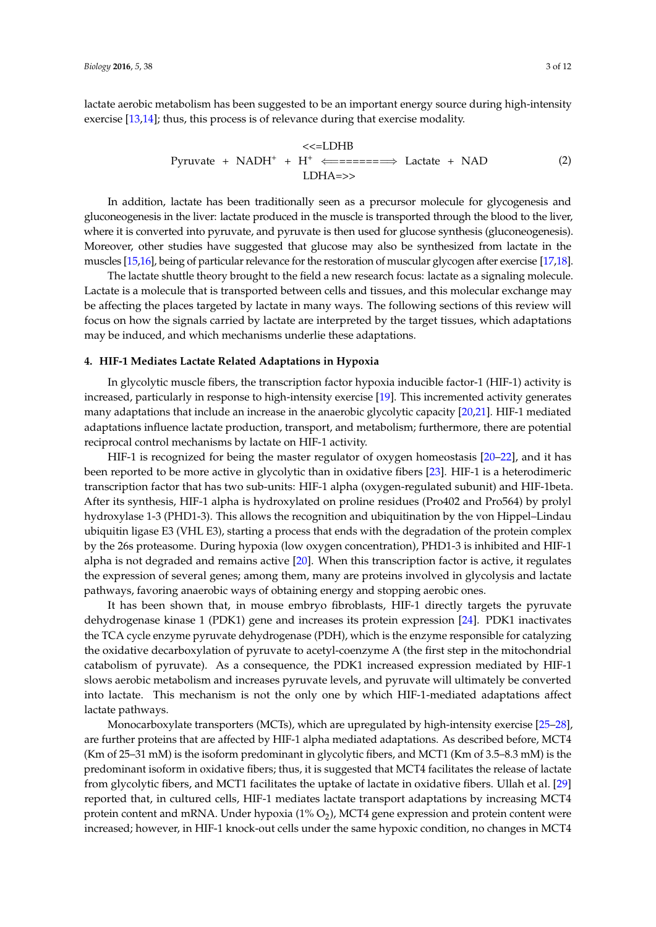lactate aerobic metabolism has been suggested to be an important energy source during high-intensity exercise [\[13,](#page-8-11)[14\]](#page-8-12); thus, this process is of relevance during that exercise modality.

$$
\langle\langle\text{=LDHB}\rangle
$$
\n
$$
\text{Pyruvate + NADH}^{+} + \text{H}^{+} \langle\text{======}) \text{Lactate + NAD} \tag{2}
$$
\n
$$
\text{LDHA} \Rightarrow \text{LDA} \Rightarrow \text{LDA} \Rightarrow \text{LDA} \Rightarrow \text{LDA} \Rightarrow \text{LDA} \Rightarrow \text{LDA} \Rightarrow \text{LDA} \Rightarrow \text{LDA} \Rightarrow \text{LDA} \Rightarrow \text{LDA} \Rightarrow \text{LDA} \Rightarrow \text{LDA} \Rightarrow \text{LDA} \Rightarrow \text{LDA} \Rightarrow \text{LDA} \Rightarrow \text{LDA} \Rightarrow \text{LDA} \Rightarrow \text{LDA} \Rightarrow \text{LDA} \Rightarrow \text{LDA} \Rightarrow \text{LDA} \Rightarrow \text{LDA} \Rightarrow \text{LDA} \Rightarrow \text{LDA} \Rightarrow \text{LDA} \Rightarrow \text{LDA} \Rightarrow \text{LDA} \Rightarrow \text{LDA} \Rightarrow \text{LDA} \Rightarrow \text{LDA} \Rightarrow \text{LDA} \Rightarrow \text{LDA} \Rightarrow \text{LDA} \Rightarrow \text{LDA} \Rightarrow \text{LDA} \Rightarrow \text{LDA} \Rightarrow \text{LDA} \Rightarrow \text{LDA} \Rightarrow \text{LDA} \Rightarrow \text{LDA} \Rightarrow \text{LDA} \Rightarrow \text{LDA} \Rightarrow \text{LDA} \Rightarrow \text{LDA} \Rightarrow \text{LDA} \Rightarrow \text{LDA} \Rightarrow \text{LDA} \Rightarrow \text{LDA} \Rightarrow \text{LDA} \Rightarrow \text{LDA} \Rightarrow \text{LDA} \Rightarrow \text{LDA} \Rightarrow \text{LDA} \Rightarrow \text{LDA} \Rightarrow \text{LDA} \Rightarrow \text{LDA} \Rightarrow \text{LDA} \Rightarrow \text{LDA} \Rightarrow \text{LDA} \Rightarrow \text{LDA} \Rightarrow \text{LDA} \Rightarrow \text{LDA} \Rightarrow \text{LDA} \Rightarrow \text{LDA} \Rightarrow \text{LDA} \Rightarrow \text{LDA} \Rightarrow \text{LDA} \Rightarrow \text{LDA} \Rightarrow \text{LDA} \Rightarrow \text{LDA} \Rightarrow \text{LDA} \Rightarrow \text{LDA} \Rightarrow \text{LDA} \Rightarrow \text{LDA} \Rightarrow \text{LDA} \Rightarrow \text{LDA} \Rightarrow \text{LDA} \Rightarrow \text{LDA} \Rightarrow \text{LDA} \Rightarrow \text{LDA} \Rightarrow \text{LDA} \Rightarrow \text{LDA} \Rightarrow \text{LDA} \Rightarrow \text{LDA} \Rightarrow \text
$$

In addition, lactate has been traditionally seen as a precursor molecule for glycogenesis and gluconeogenesis in the liver: lactate produced in the muscle is transported through the blood to the liver, where it is converted into pyruvate, and pyruvate is then used for glucose synthesis (gluconeogenesis). Moreover, other studies have suggested that glucose may also be synthesized from lactate in the muscles [\[15](#page-8-13)[,16\]](#page-8-14), being of particular relevance for the restoration of muscular glycogen after exercise [\[17](#page-8-15)[,18\]](#page-8-16).

The lactate shuttle theory brought to the field a new research focus: lactate as a signaling molecule. Lactate is a molecule that is transported between cells and tissues, and this molecular exchange may be affecting the places targeted by lactate in many ways. The following sections of this review will focus on how the signals carried by lactate are interpreted by the target tissues, which adaptations may be induced, and which mechanisms underlie these adaptations.

## **4. HIF-1 Mediates Lactate Related Adaptations in Hypoxia**

In glycolytic muscle fibers, the transcription factor hypoxia inducible factor-1 (HIF-1) activity is increased, particularly in response to high-intensity exercise [\[19\]](#page-8-17). This incremented activity generates many adaptations that include an increase in the anaerobic glycolytic capacity [\[20,](#page-8-18)[21\]](#page-8-19). HIF-1 mediated adaptations influence lactate production, transport, and metabolism; furthermore, there are potential reciprocal control mechanisms by lactate on HIF-1 activity.

HIF-1 is recognized for being the master regulator of oxygen homeostasis [\[20](#page-8-18)[–22\]](#page-9-0), and it has been reported to be more active in glycolytic than in oxidative fibers [\[23\]](#page-9-1). HIF-1 is a heterodimeric transcription factor that has two sub-units: HIF-1 alpha (oxygen-regulated subunit) and HIF-1beta. After its synthesis, HIF-1 alpha is hydroxylated on proline residues (Pro402 and Pro564) by prolyl hydroxylase 1-3 (PHD1-3). This allows the recognition and ubiquitination by the von Hippel–Lindau ubiquitin ligase E3 (VHL E3), starting a process that ends with the degradation of the protein complex by the 26s proteasome. During hypoxia (low oxygen concentration), PHD1-3 is inhibited and HIF-1 alpha is not degraded and remains active [\[20\]](#page-8-18). When this transcription factor is active, it regulates the expression of several genes; among them, many are proteins involved in glycolysis and lactate pathways, favoring anaerobic ways of obtaining energy and stopping aerobic ones.

It has been shown that, in mouse embryo fibroblasts, HIF-1 directly targets the pyruvate dehydrogenase kinase 1 (PDK1) gene and increases its protein expression [\[24\]](#page-9-2). PDK1 inactivates the TCA cycle enzyme pyruvate dehydrogenase (PDH), which is the enzyme responsible for catalyzing the oxidative decarboxylation of pyruvate to acetyl-coenzyme A (the first step in the mitochondrial catabolism of pyruvate). As a consequence, the PDK1 increased expression mediated by HIF-1 slows aerobic metabolism and increases pyruvate levels, and pyruvate will ultimately be converted into lactate. This mechanism is not the only one by which HIF-1-mediated adaptations affect lactate pathways.

Monocarboxylate transporters (MCTs), which are upregulated by high-intensity exercise [\[25](#page-9-3)[–28\]](#page-9-4), are further proteins that are affected by HIF-1 alpha mediated adaptations. As described before, MCT4 (Km of 25–31 mM) is the isoform predominant in glycolytic fibers, and MCT1 (Km of 3.5–8.3 mM) is the predominant isoform in oxidative fibers; thus, it is suggested that MCT4 facilitates the release of lactate from glycolytic fibers, and MCT1 facilitates the uptake of lactate in oxidative fibers. Ullah et al. [\[29\]](#page-9-5) reported that, in cultured cells, HIF-1 mediates lactate transport adaptations by increasing MCT4 protein content and mRNA. Under hypoxia  $(1\% O_2)$ , MCT4 gene expression and protein content were increased; however, in HIF-1 knock-out cells under the same hypoxic condition, no changes in MCT4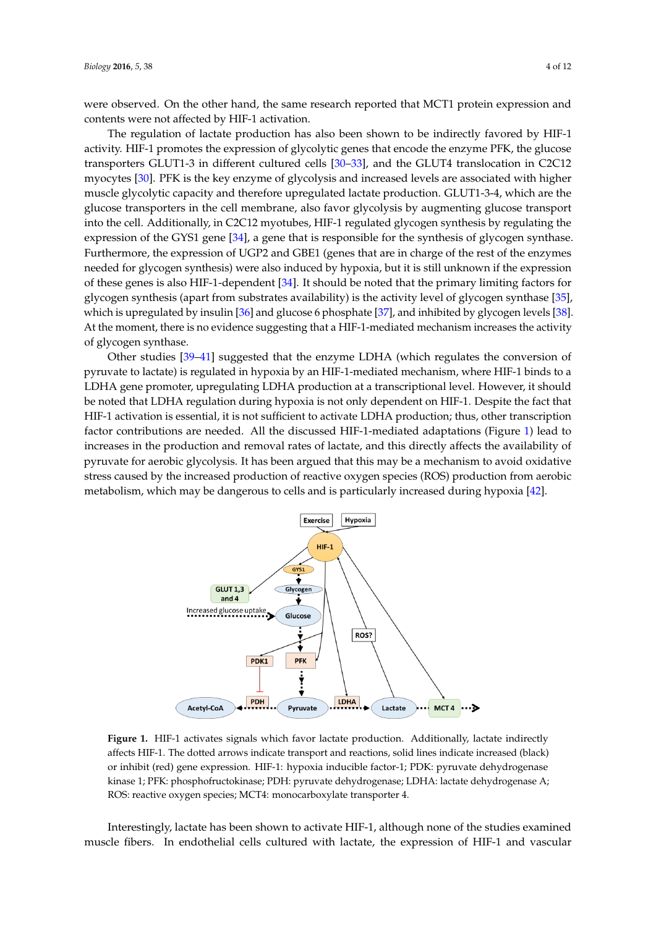were observed. On the other hand, the same research reported that MCT1 protein expression and contents were not affected by HIF-1 activation.

The regulation of lactate production has also been shown to be indirectly favored by HIF-1 activity. HIF-1 promotes the expression of glycolytic genes that encode the enzyme PFK, the glucose transporters GLUT1-3 in different cultured cells [30-33], and the GLUT4 translocation in C2C12 myocytes [\[30\]](#page-9-6). PFK is the key enzyme of glycolysis and increased levels are associated with higher muscle glycolytic capacity and therefore upregulated lactate production. GLUT1-3-4, which are the glucose transporters in the cell membrane, also favor glycolysis by augmenting glucose transport into the cell. Additionally, in C2C12 myotubes, HIF-1 regulated glycogen synthesis by regulating the expression of the GYS1 gene [\[34\]](#page-9-8), a gene that is responsible for the synthesis of glycogen synthase. Furthermore, the expression of UGP2 and GBE1 (genes that are in charge of the rest of the enzymes Furthermore, the expression of UGP2 and GBE1 (genes that are in charge of the rest of the enzymes needed for glycogen synthesis) were also induced by hypoxia, but it is still unknown if the expression needed for glycogen synthesis) were also induced by hypoxia, but it is still unknown if the of these genes is also HIF-1-dependent  $[34]$ . It should be noted that the primary limiting factors for glycogen synthesis (apart from substrates availability) is the activity level of glycogen synthase [\[35\]](#page-9-9), which is upregulated by insulin [36] and glucose 6 phosphate [37], and inhibited by glycogen levels [\[38\]](#page-9-12). At the moment, there is no evidence suggesting that a HIF-1-mediated mechanism increases the activity of glycogen synthase. mechanism increases the activity of glycogen synthase. expression of the GYS1 gene [34], a gene that is responsible for the synthesis of glycogen synthase.

Other studies [39-[41\]](#page-9-14) suggested that the enzyme LDHA (which regulates the conversion of pyruvate to lactate) is regulated in hypoxia by an HIF-1-mediated mechanism, where HIF-1 binds to a pyruvate to lactate) is regulated in hypoxia by an HIF-1-mediated mechanism, where HIF-1 binds to LDHA gene promoter, upregulating LDHA production at a transcriptional level. However, it should a LDHA gene promoter, upregulating LDHA production at a transcriptional level. However, it be noted that LDHA regulation during hypoxia is not only dependent on HIF-1. Despite the fact that  $\frac{1}{2}$ HIF-1 activation is essential, it is not sufficient to activate LDHA production; thus, other transcription factor contributions are needed. All the discussed HIF-1-mediated adaptations (Figure [1\)](#page-3-0) lead to increases in the production and removal rates of lactate, and this directly affects the availability of pyruvate for aerobic glycolysis. It has been argued that this may be a mechanism to avoid oxidative stress caused by the increased production of reactive oxygen species (ROS) production from aerobic metabolism, which may be dangerous to cells and is particularly increased during hypoxia [\[42\]](#page-9-15). fact that EDHA regulation during hypoxia is not only dependent on THT-1. Despite the next is

<span id="page-3-0"></span>

**Figure 1.** HIF-1 activates signals which favor lactate production. Additionally, lactate indirectly **Figure 1.** HIF-1 activates signals which favor lactate production. Additionally, lactate indirectly affects HIF-1. The dotted arrows indicate transport and reactions, solid lines indicate increased affects HIF-1. The dotted arrows indicate transport and reactions, solid lines indicate increased (black) or inhibit (red) gene expression. HIF-1: hypoxia inducible factor-1; PDK: pyruvate dehydrogenase dehydrogenase kinase 1; PFK: phosphofructokinase; PDH: pyruvate dehydrogenase; LDHA: lactate kinase 1; PFK: phosphofructokinase; PDH: pyruvate dehydrogenase; LDHA: lactate dehydrogenase A; ROS: reactive oxygen species; MCT4: monocarboxylate transporter 4.

Interestingly, lactate has been shown to activate HIF-1, although none of the studies examined muscle fibers. In endothelial cells cultured with lactate, the expression of HIF-1 and vascular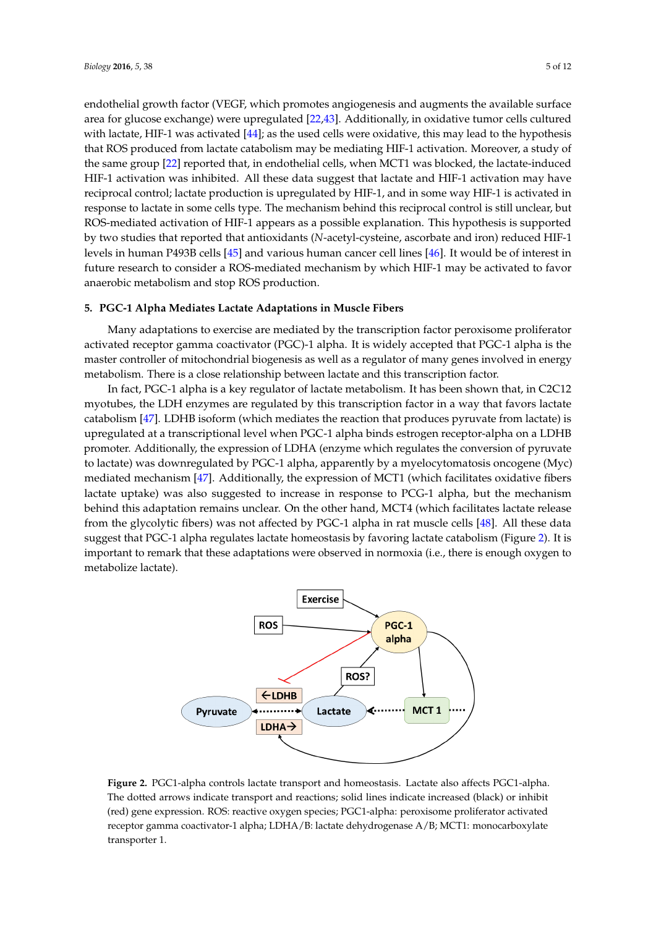endothelial growth factor (VEGF, which promotes angiogenesis and augments the available surface area for glucose exchange) were upregulated [\[22](#page-9-0)[,43\]](#page-9-16). Additionally, in oxidative tumor cells cultured with lactate, HIF-1 was activated [\[44\]](#page-10-0); as the used cells were oxidative, this may lead to the hypothesis that ROS produced from lactate catabolism may be mediating HIF-1 activation. Moreover, a study of the same group [\[22\]](#page-9-0) reported that, in endothelial cells, when MCT1 was blocked, the lactate-induced HIF-1 activation was inhibited. All these data suggest that lactate and HIF-1 activation may have reciprocal control; lactate production is upregulated by HIF-1, and in some way HIF-1 is activated in response to lactate in some cells type. The mechanism behind this reciprocal control is still unclear, but ROS-mediated activation of HIF-1 appears as a possible explanation. This hypothesis is supported by two studies that reported that antioxidants (N-acetyl-cysteine, ascorbate and iron) reduced HIF-1 levels in human P493B cells [\[45\]](#page-10-1) and various human cancer cell lines [\[46\]](#page-10-2). It would be of interest in future research to consider a ROS-mediated mechanism by which HIF-1 may be activated to favor anaerobic metabolism and stop ROS production.

# **5. PGC-1 Alpha Mediates Lactate Adaptations in Muscle Fibers 5. PGC-1 Alpha Mediates Lactate Adaptations in Muscle Fibers**

Many adaptations to exercise are mediated by the transcription factor peroxisome proliferator Many adaptations to exercise are mediated by the transcription factor peroxisome proliferator activated receptor gamma coactivator (PGC)-1 alpha. It is widely accepted that PGC-1 alpha is the activated receptor gamma coactivator (PGC)-1 alpha. It is widely accepted that PGC-1 alpha is the master controller of mitochondrial biogenesis as well as a regulator of many genes involved in energy master controller of mitochondrial biogenesis as well as a regulator of many genes involved in metabolism. There is a close relationship between lactate and this transcription factor. energy metabolism. There is a close relationship between lactate and this transcription factor.

In fact, PGC-1 alpha is a key regulator of lactate metabolism. It has been shown that, in C2C12 In fact, PGC-1 alpha is a key regulator of lactate metabolism. It has been shown that, in C2C12 myotubes, the LDH enzymes are regulated by this transcription factor in a way that favors lactate myotubes, the LDH enzymes are regulated by this transcription factor in a way that favors lactate catabolism [47]. LDHB isoform (which mediates the reaction that produces pyruvate from lactate) is catabolism [\[47\]](#page-10-3). LDHB isoform (which mediates the reaction that produces pyruvate from lactate) is upregulated at a transcriptional level when PGC-1 alpha binds estrogen receptor-alpha on a LDHB upregulated at a transcriptional level when PGC-1 alpha binds estrogen receptor-alpha on a LDHB promoter. Additionally, the expression of LDHA (enzyme which regulates the conversion of pyruvate promoter. Additionally, the expression of LDHA (enzyme which regulates the conversion of to lactate) was downregulated by PGC-1 alpha, apparently by a myelocytomatosis oncogene (Myc) medi[ated](#page-10-3) mechanism [47]. Additionally, the expression of MCT1 (which facilitates oxidative fibers lactate uptake) was also suggested to increase in response to PCG-1 alpha, but the mechanism behind this adaptation remains unclear. On the other hand, MCT4 (which facilitates lactate release from the glycolytic fibers) was not affected by PGC-1 alpha in rat [mus](#page-10-4)cle cells [48]. All these data suggest that PGC-1 alpha regulates lactate homeostasis by favoring lactate cat[abo](#page-4-0)lism (Figure 2). It is important to remark that these adaptations were observed in normoxia (i.e., there is enough oxygen to metabolize lactate).

<span id="page-4-0"></span>

**Figure 2.** PGC1-alpha controls lactate transport and homeostasis. Lactate also affects PGC1-alpha. **Figure 2.** PGC1-alpha controls lactate transport and homeostasis. Lactate also affects PGC1-alpha. The dotted arrows indicate transport and reactions; solid lines indicate increased (black) or inhibit The dotted arrows indicate transport and reactions; solid lines indicate increased (black) or inhibit (red) gene expression. ROS: reactive oxygen species; PGC1-alpha: peroxisome proliferator activated (red) gene expression. ROS: reactive oxygen species; PGC1-alpha: peroxisome proliferator activated receptor gamma coactivator-1 alpha; LDHA/B: lactate dehydrogenase A/B; MCT1: monocarboxylate receptor gamma coactivator-1 alpha; LDHA/B: lactate dehydrogenase A/B; MCT1: monocarboxylate transporter 1. transporter 1.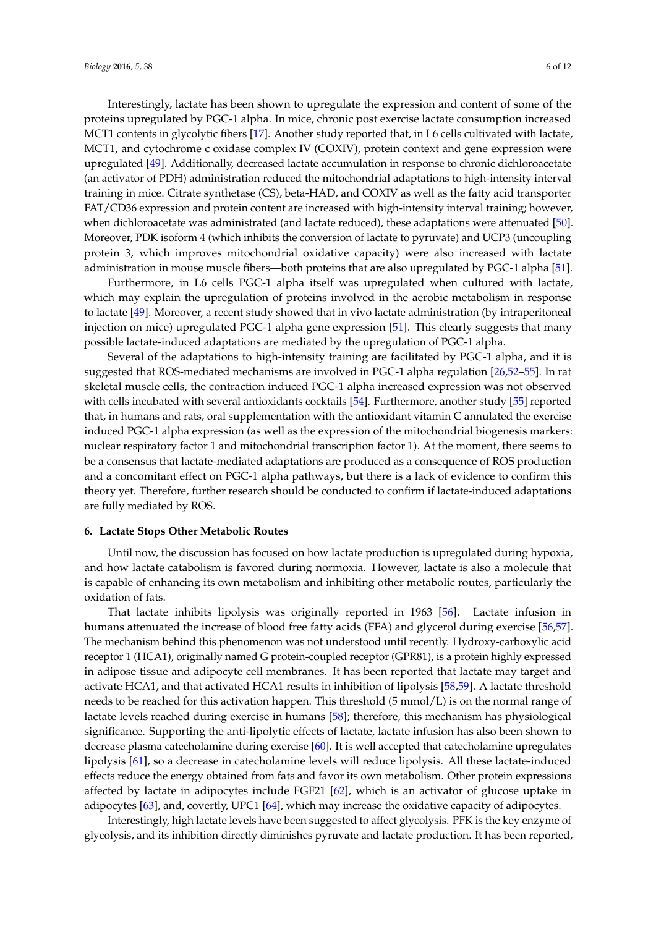Interestingly, lactate has been shown to upregulate the expression and content of some of the proteins upregulated by PGC-1 alpha. In mice, chronic post exercise lactate consumption increased MCT1 contents in glycolytic fibers [\[17\]](#page-8-15). Another study reported that, in L6 cells cultivated with lactate, MCT1, and cytochrome c oxidase complex IV (COXIV), protein context and gene expression were upregulated [\[49\]](#page-10-5). Additionally, decreased lactate accumulation in response to chronic dichloroacetate (an activator of PDH) administration reduced the mitochondrial adaptations to high-intensity interval training in mice. Citrate synthetase (CS), beta-HAD, and COXIV as well as the fatty acid transporter FAT/CD36 expression and protein content are increased with high-intensity interval training; however, when dichloroacetate was administrated (and lactate reduced), these adaptations were attenuated [\[50\]](#page-10-6). Moreover, PDK isoform 4 (which inhibits the conversion of lactate to pyruvate) and UCP3 (uncoupling protein 3, which improves mitochondrial oxidative capacity) were also increased with lactate administration in mouse muscle fibers—both proteins that are also upregulated by PGC-1 alpha [\[51\]](#page-10-7).

Furthermore, in L6 cells PGC-1 alpha itself was upregulated when cultured with lactate, which may explain the upregulation of proteins involved in the aerobic metabolism in response to lactate [\[49\]](#page-10-5). Moreover, a recent study showed that in vivo lactate administration (by intraperitoneal injection on mice) upregulated PGC-1 alpha gene expression [\[51\]](#page-10-7). This clearly suggests that many possible lactate-induced adaptations are mediated by the upregulation of PGC-1 alpha.

Several of the adaptations to high-intensity training are facilitated by PGC-1 alpha, and it is suggested that ROS-mediated mechanisms are involved in PGC-1 alpha regulation [\[26](#page-9-17)[,52–](#page-10-8)[55\]](#page-10-9). In rat skeletal muscle cells, the contraction induced PGC-1 alpha increased expression was not observed with cells incubated with several antioxidants cocktails [\[54\]](#page-10-10). Furthermore, another study [\[55\]](#page-10-9) reported that, in humans and rats, oral supplementation with the antioxidant vitamin C annulated the exercise induced PGC-1 alpha expression (as well as the expression of the mitochondrial biogenesis markers: nuclear respiratory factor 1 and mitochondrial transcription factor 1). At the moment, there seems to be a consensus that lactate-mediated adaptations are produced as a consequence of ROS production and a concomitant effect on PGC-1 alpha pathways, but there is a lack of evidence to confirm this theory yet. Therefore, further research should be conducted to confirm if lactate-induced adaptations are fully mediated by ROS.

#### **6. Lactate Stops Other Metabolic Routes**

Until now, the discussion has focused on how lactate production is upregulated during hypoxia, and how lactate catabolism is favored during normoxia. However, lactate is also a molecule that is capable of enhancing its own metabolism and inhibiting other metabolic routes, particularly the oxidation of fats.

That lactate inhibits lipolysis was originally reported in 1963 [\[56\]](#page-10-11). Lactate infusion in humans attenuated the increase of blood free fatty acids (FFA) and glycerol during exercise [\[56,](#page-10-11)[57\]](#page-10-12). The mechanism behind this phenomenon was not understood until recently. Hydroxy-carboxylic acid receptor 1 (HCA1), originally named G protein-coupled receptor (GPR81), is a protein highly expressed in adipose tissue and adipocyte cell membranes. It has been reported that lactate may target and activate HCA1, and that activated HCA1 results in inhibition of lipolysis [\[58](#page-10-13)[,59\]](#page-10-14). A lactate threshold needs to be reached for this activation happen. This threshold (5 mmol/L) is on the normal range of lactate levels reached during exercise in humans [\[58\]](#page-10-13); therefore, this mechanism has physiological significance. Supporting the anti-lipolytic effects of lactate, lactate infusion has also been shown to decrease plasma catecholamine during exercise [\[60\]](#page-10-15). It is well accepted that catecholamine upregulates lipolysis [\[61\]](#page-10-16), so a decrease in catecholamine levels will reduce lipolysis. All these lactate-induced effects reduce the energy obtained from fats and favor its own metabolism. Other protein expressions affected by lactate in adipocytes include FGF21 [\[62\]](#page-10-17), which is an activator of glucose uptake in adipocytes [\[63\]](#page-11-0), and, covertly, UPC1 [\[64\]](#page-11-1), which may increase the oxidative capacity of adipocytes.

Interestingly, high lactate levels have been suggested to affect glycolysis. PFK is the key enzyme of glycolysis, and its inhibition directly diminishes pyruvate and lactate production. It has been reported,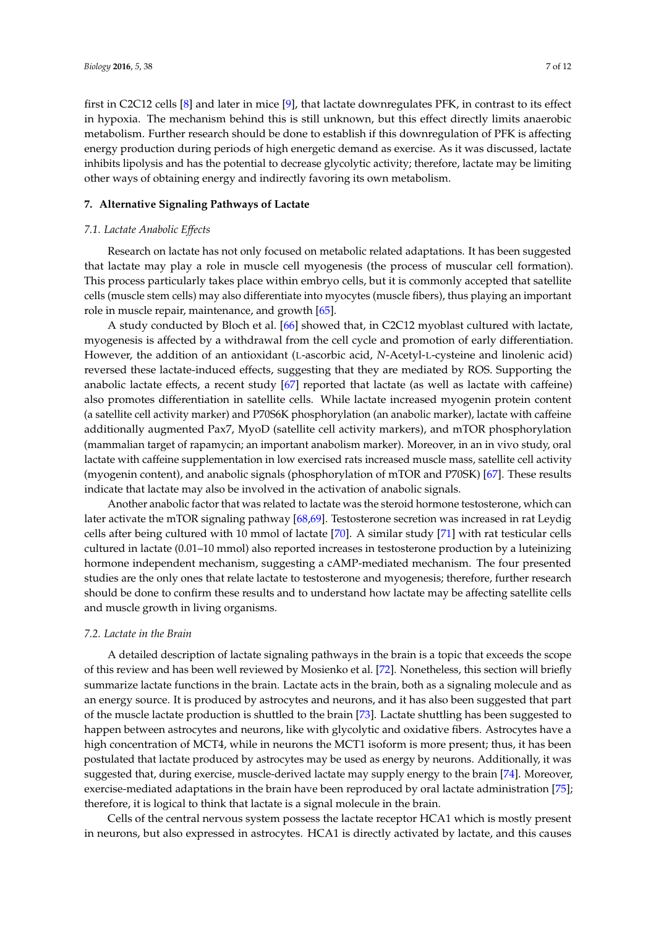first in C2C12 cells [\[8\]](#page-8-6) and later in mice [\[9\]](#page-8-7), that lactate downregulates PFK, in contrast to its effect in hypoxia. The mechanism behind this is still unknown, but this effect directly limits anaerobic metabolism. Further research should be done to establish if this downregulation of PFK is affecting energy production during periods of high energetic demand as exercise. As it was discussed, lactate inhibits lipolysis and has the potential to decrease glycolytic activity; therefore, lactate may be limiting other ways of obtaining energy and indirectly favoring its own metabolism.

## **7. Alternative Signaling Pathways of Lactate**

## *7.1. Lactate Anabolic Effects*

Research on lactate has not only focused on metabolic related adaptations. It has been suggested that lactate may play a role in muscle cell myogenesis (the process of muscular cell formation). This process particularly takes place within embryo cells, but it is commonly accepted that satellite cells (muscle stem cells) may also differentiate into myocytes (muscle fibers), thus playing an important role in muscle repair, maintenance, and growth  $[65]$ .

A study conducted by Bloch et al. [\[66\]](#page-11-3) showed that, in C2C12 myoblast cultured with lactate, myogenesis is affected by a withdrawal from the cell cycle and promotion of early differentiation. However, the addition of an antioxidant (L-ascorbic acid, *N*-Acetyl-L-cysteine and linolenic acid) reversed these lactate-induced effects, suggesting that they are mediated by ROS. Supporting the anabolic lactate effects, a recent study [\[67\]](#page-11-4) reported that lactate (as well as lactate with caffeine) also promotes differentiation in satellite cells. While lactate increased myogenin protein content (a satellite cell activity marker) and P70S6K phosphorylation (an anabolic marker), lactate with caffeine additionally augmented Pax7, MyoD (satellite cell activity markers), and mTOR phosphorylation (mammalian target of rapamycin; an important anabolism marker). Moreover, in an in vivo study, oral lactate with caffeine supplementation in low exercised rats increased muscle mass, satellite cell activity (myogenin content), and anabolic signals (phosphorylation of mTOR and P70SK) [\[67\]](#page-11-4). These results indicate that lactate may also be involved in the activation of anabolic signals.

Another anabolic factor that was related to lactate was the steroid hormone testosterone, which can later activate the mTOR signaling pathway [\[68](#page-11-5)[,69\]](#page-11-6). Testosterone secretion was increased in rat Leydig cells after being cultured with 10 mmol of lactate [\[70\]](#page-11-7). A similar study [\[71\]](#page-11-8) with rat testicular cells cultured in lactate (0.01–10 mmol) also reported increases in testosterone production by a luteinizing hormone independent mechanism, suggesting a cAMP-mediated mechanism. The four presented studies are the only ones that relate lactate to testosterone and myogenesis; therefore, further research should be done to confirm these results and to understand how lactate may be affecting satellite cells and muscle growth in living organisms.

#### *7.2. Lactate in the Brain*

A detailed description of lactate signaling pathways in the brain is a topic that exceeds the scope of this review and has been well reviewed by Mosienko et al. [\[72\]](#page-11-9). Nonetheless, this section will briefly summarize lactate functions in the brain. Lactate acts in the brain, both as a signaling molecule and as an energy source. It is produced by astrocytes and neurons, and it has also been suggested that part of the muscle lactate production is shuttled to the brain [\[73\]](#page-11-10). Lactate shuttling has been suggested to happen between astrocytes and neurons, like with glycolytic and oxidative fibers. Astrocytes have a high concentration of MCT4, while in neurons the MCT1 isoform is more present; thus, it has been postulated that lactate produced by astrocytes may be used as energy by neurons. Additionally, it was suggested that, during exercise, muscle-derived lactate may supply energy to the brain [\[74\]](#page-11-11). Moreover, exercise-mediated adaptations in the brain have been reproduced by oral lactate administration [\[75\]](#page-11-12); therefore, it is logical to think that lactate is a signal molecule in the brain.

Cells of the central nervous system possess the lactate receptor HCA1 which is mostly present in neurons, but also expressed in astrocytes. HCA1 is directly activated by lactate, and this causes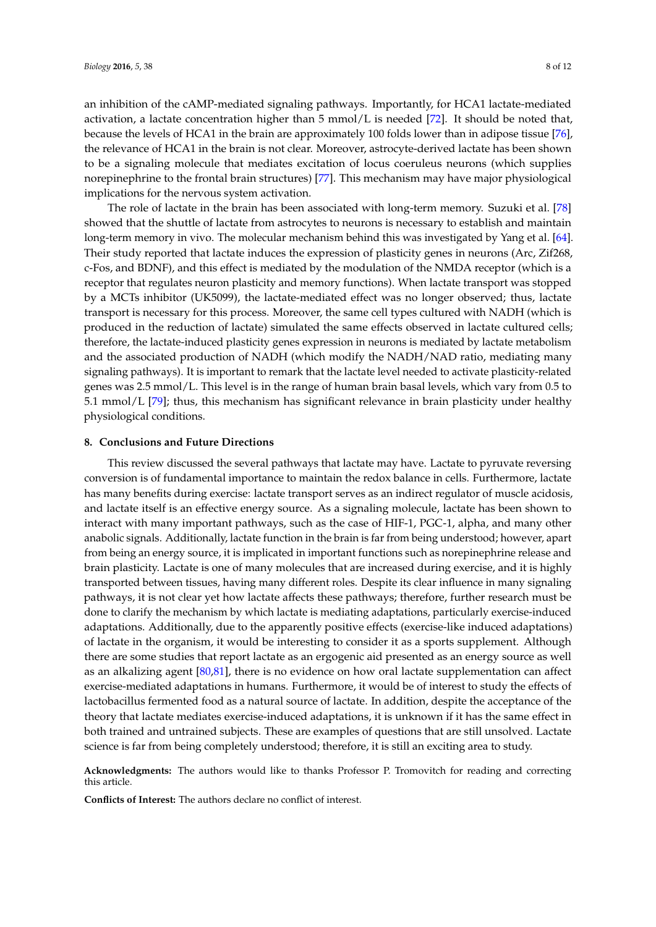an inhibition of the cAMP-mediated signaling pathways. Importantly, for HCA1 lactate-mediated activation, a lactate concentration higher than  $5 \text{ mmol/L}$  is needed [\[72\]](#page-11-9). It should be noted that, because the levels of HCA1 in the brain are approximately 100 folds lower than in adipose tissue [\[76\]](#page-11-13), the relevance of HCA1 in the brain is not clear. Moreover, astrocyte-derived lactate has been shown to be a signaling molecule that mediates excitation of locus coeruleus neurons (which supplies norepinephrine to the frontal brain structures) [\[77\]](#page-11-14). This mechanism may have major physiological implications for the nervous system activation.

The role of lactate in the brain has been associated with long-term memory. Suzuki et al. [\[78\]](#page-11-15) showed that the shuttle of lactate from astrocytes to neurons is necessary to establish and maintain long-term memory in vivo. The molecular mechanism behind this was investigated by Yang et al. [\[64\]](#page-11-1). Their study reported that lactate induces the expression of plasticity genes in neurons (Arc, Zif268, c-Fos, and BDNF), and this effect is mediated by the modulation of the NMDA receptor (which is a receptor that regulates neuron plasticity and memory functions). When lactate transport was stopped by a MCTs inhibitor (UK5099), the lactate-mediated effect was no longer observed; thus, lactate transport is necessary for this process. Moreover, the same cell types cultured with NADH (which is produced in the reduction of lactate) simulated the same effects observed in lactate cultured cells; therefore, the lactate-induced plasticity genes expression in neurons is mediated by lactate metabolism and the associated production of NADH (which modify the NADH/NAD ratio, mediating many signaling pathways). It is important to remark that the lactate level needed to activate plasticity-related genes was 2.5 mmol/L. This level is in the range of human brain basal levels, which vary from 0.5 to 5.1 mmol/L [\[79\]](#page-11-16); thus, this mechanism has significant relevance in brain plasticity under healthy physiological conditions.

## **8. Conclusions and Future Directions**

This review discussed the several pathways that lactate may have. Lactate to pyruvate reversing conversion is of fundamental importance to maintain the redox balance in cells. Furthermore, lactate has many benefits during exercise: lactate transport serves as an indirect regulator of muscle acidosis, and lactate itself is an effective energy source. As a signaling molecule, lactate has been shown to interact with many important pathways, such as the case of HIF-1, PGC-1, alpha, and many other anabolic signals. Additionally, lactate function in the brain is far from being understood; however, apart from being an energy source, it is implicated in important functions such as norepinephrine release and brain plasticity. Lactate is one of many molecules that are increased during exercise, and it is highly transported between tissues, having many different roles. Despite its clear influence in many signaling pathways, it is not clear yet how lactate affects these pathways; therefore, further research must be done to clarify the mechanism by which lactate is mediating adaptations, particularly exercise-induced adaptations. Additionally, due to the apparently positive effects (exercise-like induced adaptations) of lactate in the organism, it would be interesting to consider it as a sports supplement. Although there are some studies that report lactate as an ergogenic aid presented as an energy source as well as an alkalizing agent [\[80](#page-11-17)[,81\]](#page-11-18), there is no evidence on how oral lactate supplementation can affect exercise-mediated adaptations in humans. Furthermore, it would be of interest to study the effects of lactobacillus fermented food as a natural source of lactate. In addition, despite the acceptance of the theory that lactate mediates exercise-induced adaptations, it is unknown if it has the same effect in both trained and untrained subjects. These are examples of questions that are still unsolved. Lactate science is far from being completely understood; therefore, it is still an exciting area to study.

**Acknowledgments:** The authors would like to thanks Professor P. Tromovitch for reading and correcting this article.

**Conflicts of Interest:** The authors declare no conflict of interest.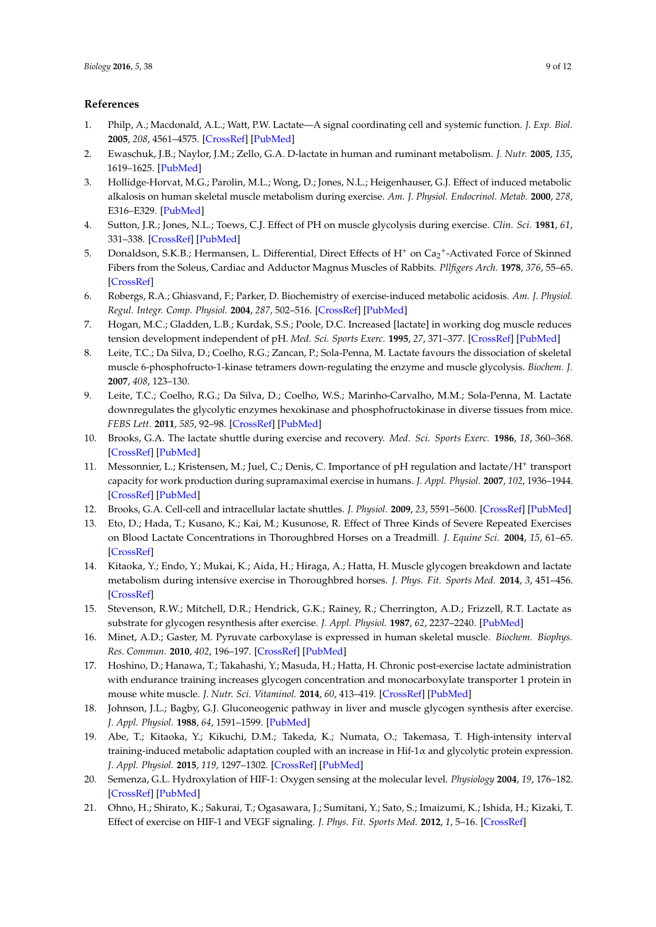# **References**

- <span id="page-8-0"></span>1. Philp, A.; Macdonald, A.L.; Watt, P.W. Lactate—A signal coordinating cell and systemic function. *J. Exp. Biol.* **2005**, *208*, 4561–4575. [\[CrossRef\]](http://dx.doi.org/10.1242/jeb.01961) [\[PubMed\]](http://www.ncbi.nlm.nih.gov/pubmed/16326938)
- <span id="page-8-1"></span>2. Ewaschuk, J.B.; Naylor, J.M.; Zello, G.A. D-lactate in human and ruminant metabolism. *J. Nutr.* **2005**, *135*, 1619–1625. [\[PubMed\]](http://www.ncbi.nlm.nih.gov/pubmed/15987839)
- <span id="page-8-2"></span>3. Hollidge-Horvat, M.G.; Parolin, M.L.; Wong, D.; Jones, N.L.; Heigenhauser, G.J. Effect of induced metabolic alkalosis on human skeletal muscle metabolism during exercise. *Am. J. Physiol. Endocrinol. Metab.* **2000**, *278*, E316–E329. [\[PubMed\]](http://www.ncbi.nlm.nih.gov/pubmed/10662717)
- 4. Sutton, J.R.; Jones, N.L.; Toews, C.J. Effect of PH on muscle glycolysis during exercise. *Clin. Sci.* **1981**, *61*, 331–338. [\[CrossRef\]](http://dx.doi.org/10.1042/cs0610331) [\[PubMed\]](http://www.ncbi.nlm.nih.gov/pubmed/7261554)
- <span id="page-8-3"></span>5. Donaldson, S.K.B.; Hermansen, L. Differential, Direct Effects of  $H^+$  on  $Ca_2^+$ -Activated Force of Skinned Fibers from the Soleus, Cardiac and Adductor Magnus Muscles of Rabbits. *Pllfigers Arch.* **1978**, *376*, 55–65. [\[CrossRef\]](http://dx.doi.org/10.1007/BF00585248)
- <span id="page-8-4"></span>6. Robergs, R.A.; Ghiasvand, F.; Parker, D. Biochemistry of exercise-induced metabolic acidosis. *Am. J. Physiol. Regul. Integr. Comp. Physiol.* **2004**, *287*, 502–516. [\[CrossRef\]](http://dx.doi.org/10.1152/ajpregu.00114.2004) [\[PubMed\]](http://www.ncbi.nlm.nih.gov/pubmed/15308499)
- <span id="page-8-5"></span>7. Hogan, M.C.; Gladden, L.B.; Kurdak, S.S.; Poole, D.C. Increased [lactate] in working dog muscle reduces tension development independent of pH. *Med. Sci. Sports Exerc.* **1995**, *27*, 371–377. [\[CrossRef\]](http://dx.doi.org/10.1249/00005768-199503000-00013) [\[PubMed\]](http://www.ncbi.nlm.nih.gov/pubmed/7752864)
- <span id="page-8-6"></span>8. Leite, T.C.; Da Silva, D.; Coelho, R.G.; Zancan, P.; Sola-Penna, M. Lactate favours the dissociation of skeletal muscle 6-phosphofructo-1-kinase tetramers down-regulating the enzyme and muscle glycolysis. *Biochem. J.* **2007**, *408*, 123–130.
- <span id="page-8-7"></span>9. Leite, T.C.; Coelho, R.G.; Da Silva, D.; Coelho, W.S.; Marinho-Carvalho, M.M.; Sola-Penna, M. Lactate downregulates the glycolytic enzymes hexokinase and phosphofructokinase in diverse tissues from mice. *FEBS Lett.* **2011**, *585*, 92–98. [\[CrossRef\]](http://dx.doi.org/10.1016/j.febslet.2010.11.009) [\[PubMed\]](http://www.ncbi.nlm.nih.gov/pubmed/21074528)
- <span id="page-8-8"></span>10. Brooks, G.A. The lactate shuttle during exercise and recovery. *Med. Sci. Sports Exerc.* **1986**, *18*, 360–368. [\[CrossRef\]](http://dx.doi.org/10.1249/00005768-198606000-00019) [\[PubMed\]](http://www.ncbi.nlm.nih.gov/pubmed/3523107)
- <span id="page-8-9"></span>11. Messonnier, L.; Kristensen, M.; Juel, C.; Denis, C. Importance of pH regulation and lactate/H<sup>+</sup> transport capacity for work production during supramaximal exercise in humans. *J. Appl. Physiol.* **2007**, *102*, 1936–1944. [\[CrossRef\]](http://dx.doi.org/10.1152/japplphysiol.00691.2006) [\[PubMed\]](http://www.ncbi.nlm.nih.gov/pubmed/17289910)
- <span id="page-8-10"></span>12. Brooks, G.A. Cell-cell and intracellular lactate shuttles. *J. Physiol.* **2009**, *23*, 5591–5600. [\[CrossRef\]](http://dx.doi.org/10.1113/jphysiol.2009.178350) [\[PubMed\]](http://www.ncbi.nlm.nih.gov/pubmed/19805739)
- <span id="page-8-11"></span>13. Eto, D.; Hada, T.; Kusano, K.; Kai, M.; Kusunose, R. Effect of Three Kinds of Severe Repeated Exercises on Blood Lactate Concentrations in Thoroughbred Horses on a Treadmill. *J. Equine Sci.* **2004**, *15*, 61–65. [\[CrossRef\]](http://dx.doi.org/10.1294/jes.15.61)
- <span id="page-8-12"></span>14. Kitaoka, Y.; Endo, Y.; Mukai, K.; Aida, H.; Hiraga, A.; Hatta, H. Muscle glycogen breakdown and lactate metabolism during intensive exercise in Thoroughbred horses. *J. Phys. Fit. Sports Med.* **2014**, *3*, 451–456. [\[CrossRef\]](http://dx.doi.org/10.7600/jpfsm.3.451)
- <span id="page-8-13"></span>15. Stevenson, R.W.; Mitchell, D.R.; Hendrick, G.K.; Rainey, R.; Cherrington, A.D.; Frizzell, R.T. Lactate as substrate for glycogen resynthesis after exercise. *J. Appl. Physiol.* **1987**, *62*, 2237–2240. [\[PubMed\]](http://www.ncbi.nlm.nih.gov/pubmed/3610920)
- <span id="page-8-14"></span>16. Minet, A.D.; Gaster, M. Pyruvate carboxylase is expressed in human skeletal muscle. *Biochem. Biophys. Res. Commun.* **2010**, *402*, 196–197. [\[CrossRef\]](http://dx.doi.org/10.1016/j.bbrc.2010.08.102) [\[PubMed\]](http://www.ncbi.nlm.nih.gov/pubmed/20807508)
- <span id="page-8-15"></span>17. Hoshino, D.; Hanawa, T.; Takahashi, Y.; Masuda, H.; Hatta, H. Chronic post-exercise lactate administration with endurance training increases glycogen concentration and monocarboxylate transporter 1 protein in mouse white muscle. *J. Nutr. Sci. Vitaminol.* **2014**, *60*, 413–419. [\[CrossRef\]](http://dx.doi.org/10.3177/jnsv.60.413) [\[PubMed\]](http://www.ncbi.nlm.nih.gov/pubmed/25866305)
- <span id="page-8-16"></span>18. Johnson, J.L.; Bagby, G.J. Gluconeogenic pathway in liver and muscle glycogen synthesis after exercise. *J. Appl. Physiol.* **1988**, *64*, 1591–1599. [\[PubMed\]](http://www.ncbi.nlm.nih.gov/pubmed/3288609)
- <span id="page-8-17"></span>19. Abe, T.; Kitaoka, Y.; Kikuchi, D.M.; Takeda, K.; Numata, O.; Takemasa, T. High-intensity interval training-induced metabolic adaptation coupled with an increase in Hif-1α and glycolytic protein expression. *J. Appl. Physiol.* **2015**, *119*, 1297–1302. [\[CrossRef\]](http://dx.doi.org/10.1152/japplphysiol.00499.2015) [\[PubMed\]](http://www.ncbi.nlm.nih.gov/pubmed/26429867)
- <span id="page-8-18"></span>20. Semenza, G.L. Hydroxylation of HIF-1: Oxygen sensing at the molecular level. *Physiology* **2004**, *19*, 176–182. [\[CrossRef\]](http://dx.doi.org/10.1152/physiol.00001.2004) [\[PubMed\]](http://www.ncbi.nlm.nih.gov/pubmed/15304631)
- <span id="page-8-19"></span>21. Ohno, H.; Shirato, K.; Sakurai, T.; Ogasawara, J.; Sumitani, Y.; Sato, S.; Imaizumi, K.; Ishida, H.; Kizaki, T. Effect of exercise on HIF-1 and VEGF signaling. *J. Phys. Fit. Sports Med.* **2012**, *1*, 5–16. [\[CrossRef\]](http://dx.doi.org/10.7600/jpfsm.1.5)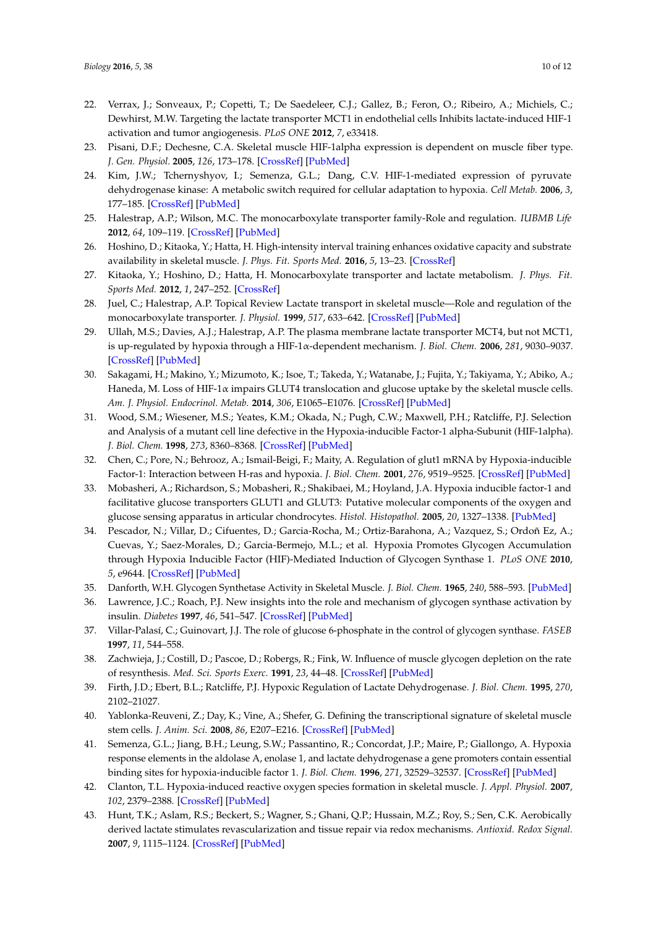- <span id="page-9-0"></span>22. Verrax, J.; Sonveaux, P.; Copetti, T.; De Saedeleer, C.J.; Gallez, B.; Feron, O.; Ribeiro, A.; Michiels, C.; Dewhirst, M.W. Targeting the lactate transporter MCT1 in endothelial cells Inhibits lactate-induced HIF-1 activation and tumor angiogenesis. *PLoS ONE* **2012**, *7*, e33418.
- <span id="page-9-1"></span>23. Pisani, D.F.; Dechesne, C.A. Skeletal muscle HIF-1alpha expression is dependent on muscle fiber type. *J. Gen. Physiol.* **2005**, *126*, 173–178. [\[CrossRef\]](http://dx.doi.org/10.1085/jgp.200509265) [\[PubMed\]](http://www.ncbi.nlm.nih.gov/pubmed/16043777)
- <span id="page-9-2"></span>24. Kim, J.W.; Tchernyshyov, I.; Semenza, G.L.; Dang, C.V. HIF-1-mediated expression of pyruvate dehydrogenase kinase: A metabolic switch required for cellular adaptation to hypoxia. *Cell Metab.* **2006**, *3*, 177–185. [\[CrossRef\]](http://dx.doi.org/10.1016/j.cmet.2006.02.002) [\[PubMed\]](http://www.ncbi.nlm.nih.gov/pubmed/16517405)
- <span id="page-9-3"></span>25. Halestrap, A.P.; Wilson, M.C. The monocarboxylate transporter family-Role and regulation. *IUBMB Life* **2012**, *64*, 109–119. [\[CrossRef\]](http://dx.doi.org/10.1002/iub.572) [\[PubMed\]](http://www.ncbi.nlm.nih.gov/pubmed/22162139)
- <span id="page-9-17"></span>26. Hoshino, D.; Kitaoka, Y.; Hatta, H. High-intensity interval training enhances oxidative capacity and substrate availability in skeletal muscle. *J. Phys. Fit. Sports Med.* **2016**, *5*, 13–23. [\[CrossRef\]](http://dx.doi.org/10.7600/jpfsm.5.13)
- 27. Kitaoka, Y.; Hoshino, D.; Hatta, H. Monocarboxylate transporter and lactate metabolism. *J. Phys. Fit. Sports Med.* **2012**, *1*, 247–252. [\[CrossRef\]](http://dx.doi.org/10.7600/jpfsm.1.247)
- <span id="page-9-4"></span>28. Juel, C.; Halestrap, A.P. Topical Review Lactate transport in skeletal muscle—Role and regulation of the monocarboxylate transporter. *J. Physiol.* **1999**, *517*, 633–642. [\[CrossRef\]](http://dx.doi.org/10.1111/j.1469-7793.1999.0633s.x) [\[PubMed\]](http://www.ncbi.nlm.nih.gov/pubmed/10358105)
- <span id="page-9-5"></span>29. Ullah, M.S.; Davies, A.J.; Halestrap, A.P. The plasma membrane lactate transporter MCT4, but not MCT1, is up-regulated by hypoxia through a HIF-1α-dependent mechanism. *J. Biol. Chem.* **2006**, *281*, 9030–9037. [\[CrossRef\]](http://dx.doi.org/10.1074/jbc.M511397200) [\[PubMed\]](http://www.ncbi.nlm.nih.gov/pubmed/16452478)
- <span id="page-9-6"></span>30. Sakagami, H.; Makino, Y.; Mizumoto, K.; Isoe, T.; Takeda, Y.; Watanabe, J.; Fujita, Y.; Takiyama, Y.; Abiko, A.; Haneda, M. Loss of HIF-1 $\alpha$  impairs GLUT4 translocation and glucose uptake by the skeletal muscle cells. *Am. J. Physiol. Endocrinol. Metab.* **2014**, *306*, E1065–E1076. [\[CrossRef\]](http://dx.doi.org/10.1152/ajpendo.00597.2012) [\[PubMed\]](http://www.ncbi.nlm.nih.gov/pubmed/24619881)
- 31. Wood, S.M.; Wiesener, M.S.; Yeates, K.M.; Okada, N.; Pugh, C.W.; Maxwell, P.H.; Ratcliffe, P.J. Selection and Analysis of a mutant cell line defective in the Hypoxia-inducible Factor-1 alpha-Subunit (HIF-1alpha). *J. Biol. Chem.* **1998**, *273*, 8360–8368. [\[CrossRef\]](http://dx.doi.org/10.1074/jbc.273.14.8360) [\[PubMed\]](http://www.ncbi.nlm.nih.gov/pubmed/9525945)
- 32. Chen, C.; Pore, N.; Behrooz, A.; Ismail-Beigi, F.; Maity, A. Regulation of glut1 mRNA by Hypoxia-inducible Factor-1: Interaction between H-ras and hypoxia. *J. Biol. Chem.* **2001**, *276*, 9519–9525. [\[CrossRef\]](http://dx.doi.org/10.1074/jbc.M010144200) [\[PubMed\]](http://www.ncbi.nlm.nih.gov/pubmed/11120745)
- <span id="page-9-7"></span>33. Mobasheri, A.; Richardson, S.; Mobasheri, R.; Shakibaei, M.; Hoyland, J.A. Hypoxia inducible factor-1 and facilitative glucose transporters GLUT1 and GLUT3: Putative molecular components of the oxygen and glucose sensing apparatus in articular chondrocytes. *Histol. Histopathol.* **2005**, *20*, 1327–1338. [\[PubMed\]](http://www.ncbi.nlm.nih.gov/pubmed/16136514)
- <span id="page-9-8"></span>34. Pescador, N.; Villar, D.; Cifuentes, D.; Garcia-Rocha, M.; Ortiz-Barahona, A.; Vazquez, S.; Ordoñ Ez, A.; Cuevas, Y.; Saez-Morales, D.; Garcia-Bermejo, M.L.; et al. Hypoxia Promotes Glycogen Accumulation through Hypoxia Inducible Factor (HIF)-Mediated Induction of Glycogen Synthase 1. *PLoS ONE* **2010**, *5*, e9644. [\[CrossRef\]](http://dx.doi.org/10.1371/journal.pone.0009644) [\[PubMed\]](http://www.ncbi.nlm.nih.gov/pubmed/20300197)
- <span id="page-9-9"></span>35. Danforth, W.H. Glycogen Synthetase Activity in Skeletal Muscle. *J. Biol. Chem.* **1965**, *240*, 588–593. [\[PubMed\]](http://www.ncbi.nlm.nih.gov/pubmed/14275108)
- <span id="page-9-10"></span>36. Lawrence, J.C.; Roach, P.J. New insights into the role and mechanism of glycogen synthase activation by insulin. *Diabetes* **1997**, *46*, 541–547. [\[CrossRef\]](http://dx.doi.org/10.2337/diab.46.4.541) [\[PubMed\]](http://www.ncbi.nlm.nih.gov/pubmed/9075792)
- <span id="page-9-11"></span>37. Villar-Palasí, C.; Guinovart, J.J. The role of glucose 6-phosphate in the control of glycogen synthase. *FASEB* **1997**, *11*, 544–558.
- <span id="page-9-12"></span>38. Zachwieja, J.; Costill, D.; Pascoe, D.; Robergs, R.; Fink, W. Influence of muscle glycogen depletion on the rate of resynthesis. *Med. Sci. Sports Exerc.* **1991**, *23*, 44–48. [\[CrossRef\]](http://dx.doi.org/10.1249/00005768-199101000-00008) [\[PubMed\]](http://www.ncbi.nlm.nih.gov/pubmed/1900096)
- <span id="page-9-13"></span>39. Firth, J.D.; Ebert, B.L.; Ratcliffe, P.J. Hypoxic Regulation of Lactate Dehydrogenase. *J. Biol. Chem.* **1995**, *270*, 2102–21027.
- 40. Yablonka-Reuveni, Z.; Day, K.; Vine, A.; Shefer, G. Defining the transcriptional signature of skeletal muscle stem cells. *J. Anim. Sci.* **2008**, *86*, E207–E216. [\[CrossRef\]](http://dx.doi.org/10.2527/jas.2007-0473) [\[PubMed\]](http://www.ncbi.nlm.nih.gov/pubmed/17878281)
- <span id="page-9-14"></span>41. Semenza, G.L.; Jiang, B.H.; Leung, S.W.; Passantino, R.; Concordat, J.P.; Maire, P.; Giallongo, A. Hypoxia response elements in the aldolase A, enolase 1, and lactate dehydrogenase a gene promoters contain essential binding sites for hypoxia-inducible factor 1. *J. Biol. Chem.* **1996**, *271*, 32529–32537. [\[CrossRef\]](http://dx.doi.org/10.1074/jbc.271.51.32529) [\[PubMed\]](http://www.ncbi.nlm.nih.gov/pubmed/8955077)
- <span id="page-9-15"></span>42. Clanton, T.L. Hypoxia-induced reactive oxygen species formation in skeletal muscle. *J. Appl. Physiol.* **2007**, *102*, 2379–2388. [\[CrossRef\]](http://dx.doi.org/10.1152/japplphysiol.01298.2006) [\[PubMed\]](http://www.ncbi.nlm.nih.gov/pubmed/17289907)
- <span id="page-9-16"></span>43. Hunt, T.K.; Aslam, R.S.; Beckert, S.; Wagner, S.; Ghani, Q.P.; Hussain, M.Z.; Roy, S.; Sen, C.K. Aerobically derived lactate stimulates revascularization and tissue repair via redox mechanisms. *Antioxid. Redox Signal.* **2007**, *9*, 1115–1124. [\[CrossRef\]](http://dx.doi.org/10.1089/ars.2007.1674) [\[PubMed\]](http://www.ncbi.nlm.nih.gov/pubmed/17567242)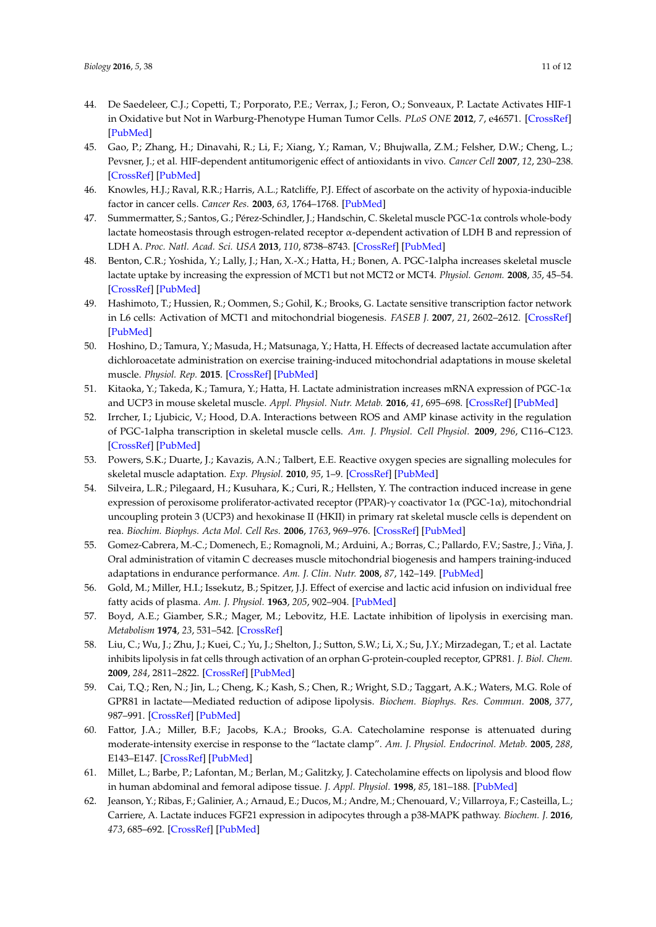- <span id="page-10-0"></span>44. De Saedeleer, C.J.; Copetti, T.; Porporato, P.E.; Verrax, J.; Feron, O.; Sonveaux, P. Lactate Activates HIF-1 in Oxidative but Not in Warburg-Phenotype Human Tumor Cells. *PLoS ONE* **2012**, *7*, e46571. [\[CrossRef\]](http://dx.doi.org/10.1371/journal.pone.0046571) [\[PubMed\]](http://www.ncbi.nlm.nih.gov/pubmed/23082126)
- <span id="page-10-1"></span>45. Gao, P.; Zhang, H.; Dinavahi, R.; Li, F.; Xiang, Y.; Raman, V.; Bhujwalla, Z.M.; Felsher, D.W.; Cheng, L.; Pevsner, J.; et al. HIF-dependent antitumorigenic effect of antioxidants in vivo. *Cancer Cell* **2007**, *12*, 230–238. [\[CrossRef\]](http://dx.doi.org/10.1016/j.ccr.2007.08.004) [\[PubMed\]](http://www.ncbi.nlm.nih.gov/pubmed/17785204)
- <span id="page-10-2"></span>46. Knowles, H.J.; Raval, R.R.; Harris, A.L.; Ratcliffe, P.J. Effect of ascorbate on the activity of hypoxia-inducible factor in cancer cells. *Cancer Res.* **2003**, *63*, 1764–1768. [\[PubMed\]](http://www.ncbi.nlm.nih.gov/pubmed/12702559)
- <span id="page-10-3"></span>47. Summermatter, S.; Santos, G.; Pérez-Schindler, J.; Handschin, C. Skeletal muscle PGC-1α controls whole-body lactate homeostasis through estrogen-related receptor α-dependent activation of LDH B and repression of LDH A. *Proc. Natl. Acad. Sci. USA* **2013**, *110*, 8738–8743. [\[CrossRef\]](http://dx.doi.org/10.1073/pnas.1212976110) [\[PubMed\]](http://www.ncbi.nlm.nih.gov/pubmed/23650363)
- <span id="page-10-4"></span>48. Benton, C.R.; Yoshida, Y.; Lally, J.; Han, X.-X.; Hatta, H.; Bonen, A. PGC-1alpha increases skeletal muscle lactate uptake by increasing the expression of MCT1 but not MCT2 or MCT4. *Physiol. Genom.* **2008**, *35*, 45–54. [\[CrossRef\]](http://dx.doi.org/10.1152/physiolgenomics.90217.2008) [\[PubMed\]](http://www.ncbi.nlm.nih.gov/pubmed/18523157)
- <span id="page-10-5"></span>49. Hashimoto, T.; Hussien, R.; Oommen, S.; Gohil, K.; Brooks, G. Lactate sensitive transcription factor network in L6 cells: Activation of MCT1 and mitochondrial biogenesis. *FASEB J.* **2007**, *21*, 2602–2612. [\[CrossRef\]](http://dx.doi.org/10.1096/fj.07-8174com) [\[PubMed\]](http://www.ncbi.nlm.nih.gov/pubmed/17395833)
- <span id="page-10-6"></span>50. Hoshino, D.; Tamura, Y.; Masuda, H.; Matsunaga, Y.; Hatta, H. Effects of decreased lactate accumulation after dichloroacetate administration on exercise training-induced mitochondrial adaptations in mouse skeletal muscle. *Physiol. Rep.* **2015**. [\[CrossRef\]](http://dx.doi.org/10.14814/phy2.12555) [\[PubMed\]](http://www.ncbi.nlm.nih.gov/pubmed/26416973)
- <span id="page-10-7"></span>51. Kitaoka, Y.; Takeda, K.; Tamura, Y.; Hatta, H. Lactate administration increases mRNA expression of PGC-1α and UCP3 in mouse skeletal muscle. *Appl. Physiol. Nutr. Metab.* **2016**, *41*, 695–698. [\[CrossRef\]](http://dx.doi.org/10.1139/apnm-2016-0016) [\[PubMed\]](http://www.ncbi.nlm.nih.gov/pubmed/27218871)
- <span id="page-10-8"></span>52. Irrcher, I.; Ljubicic, V.; Hood, D.A. Interactions between ROS and AMP kinase activity in the regulation of PGC-1alpha transcription in skeletal muscle cells. *Am. J. Physiol. Cell Physiol.* **2009**, *296*, C116–C123. [\[CrossRef\]](http://dx.doi.org/10.1152/ajpcell.00267.2007) [\[PubMed\]](http://www.ncbi.nlm.nih.gov/pubmed/19005163)
- 53. Powers, S.K.; Duarte, J.; Kavazis, A.N.; Talbert, E.E. Reactive oxygen species are signalling molecules for skeletal muscle adaptation. *Exp. Physiol.* **2010**, *95*, 1–9. [\[CrossRef\]](http://dx.doi.org/10.1113/expphysiol.2009.050526) [\[PubMed\]](http://www.ncbi.nlm.nih.gov/pubmed/19880534)
- <span id="page-10-10"></span>54. Silveira, L.R.; Pilegaard, H.; Kusuhara, K.; Curi, R.; Hellsten, Y. The contraction induced increase in gene expression of peroxisome proliferator-activated receptor (PPAR)-γ coactivator 1α (PGC-1α), mitochondrial uncoupling protein 3 (UCP3) and hexokinase II (HKII) in primary rat skeletal muscle cells is dependent on rea. *Biochim. Biophys. Acta Mol. Cell Res.* **2006**, *1763*, 969–976. [\[CrossRef\]](http://dx.doi.org/10.1016/j.bbamcr.2006.06.010) [\[PubMed\]](http://www.ncbi.nlm.nih.gov/pubmed/16916551)
- <span id="page-10-9"></span>55. Gomez-Cabrera, M.-C.; Domenech, E.; Romagnoli, M.; Arduini, A.; Borras, C.; Pallardo, F.V.; Sastre, J.; Viña, J. Oral administration of vitamin C decreases muscle mitochondrial biogenesis and hampers training-induced adaptations in endurance performance. *Am. J. Clin. Nutr.* **2008**, *87*, 142–149. [\[PubMed\]](http://www.ncbi.nlm.nih.gov/pubmed/18175748)
- <span id="page-10-11"></span>56. Gold, M.; Miller, H.I.; Issekutz, B.; Spitzer, J.J. Effect of exercise and lactic acid infusion on individual free fatty acids of plasma. *Am. J. Physiol.* **1963**, *205*, 902–904. [\[PubMed\]](http://www.ncbi.nlm.nih.gov/pubmed/5877419)
- <span id="page-10-12"></span>57. Boyd, A.E.; Giamber, S.R.; Mager, M.; Lebovitz, H.E. Lactate inhibition of lipolysis in exercising man. *Metabolism* **1974**, *23*, 531–542. [\[CrossRef\]](http://dx.doi.org/10.1016/0026-0495(74)90081-X)
- <span id="page-10-13"></span>58. Liu, C.; Wu, J.; Zhu, J.; Kuei, C.; Yu, J.; Shelton, J.; Sutton, S.W.; Li, X.; Su, J.Y.; Mirzadegan, T.; et al. Lactate inhibits lipolysis in fat cells through activation of an orphan G-protein-coupled receptor, GPR81. *J. Biol. Chem.* **2009**, *284*, 2811–2822. [\[CrossRef\]](http://dx.doi.org/10.1074/jbc.M806409200) [\[PubMed\]](http://www.ncbi.nlm.nih.gov/pubmed/19047060)
- <span id="page-10-14"></span>59. Cai, T.Q.; Ren, N.; Jin, L.; Cheng, K.; Kash, S.; Chen, R.; Wright, S.D.; Taggart, A.K.; Waters, M.G. Role of GPR81 in lactate—Mediated reduction of adipose lipolysis. *Biochem. Biophys. Res. Commun.* **2008**, *377*, 987–991. [\[CrossRef\]](http://dx.doi.org/10.1016/j.bbrc.2008.10.088) [\[PubMed\]](http://www.ncbi.nlm.nih.gov/pubmed/18952058)
- <span id="page-10-15"></span>60. Fattor, J.A.; Miller, B.F.; Jacobs, K.A.; Brooks, G.A. Catecholamine response is attenuated during moderate-intensity exercise in response to the "lactate clamp". *Am. J. Physiol. Endocrinol. Metab.* **2005**, *288*, E143–E147. [\[CrossRef\]](http://dx.doi.org/10.1152/ajpendo.00117.2004) [\[PubMed\]](http://www.ncbi.nlm.nih.gov/pubmed/15328074)
- <span id="page-10-16"></span>61. Millet, L.; Barbe, P.; Lafontan, M.; Berlan, M.; Galitzky, J. Catecholamine effects on lipolysis and blood flow in human abdominal and femoral adipose tissue. *J. Appl. Physiol.* **1998**, *85*, 181–188. [\[PubMed\]](http://www.ncbi.nlm.nih.gov/pubmed/9655773)
- <span id="page-10-17"></span>62. Jeanson, Y.; Ribas, F.; Galinier, A.; Arnaud, E.; Ducos, M.; Andre, M.; Chenouard, V.; Villarroya, F.; Casteilla, L.; Carriere, A. Lactate induces FGF21 expression in adipocytes through a p38-MAPK pathway. *Biochem. J.* **2016**, *473*, 685–692. [\[CrossRef\]](http://dx.doi.org/10.1042/BJ20150808) [\[PubMed\]](http://www.ncbi.nlm.nih.gov/pubmed/26769382)